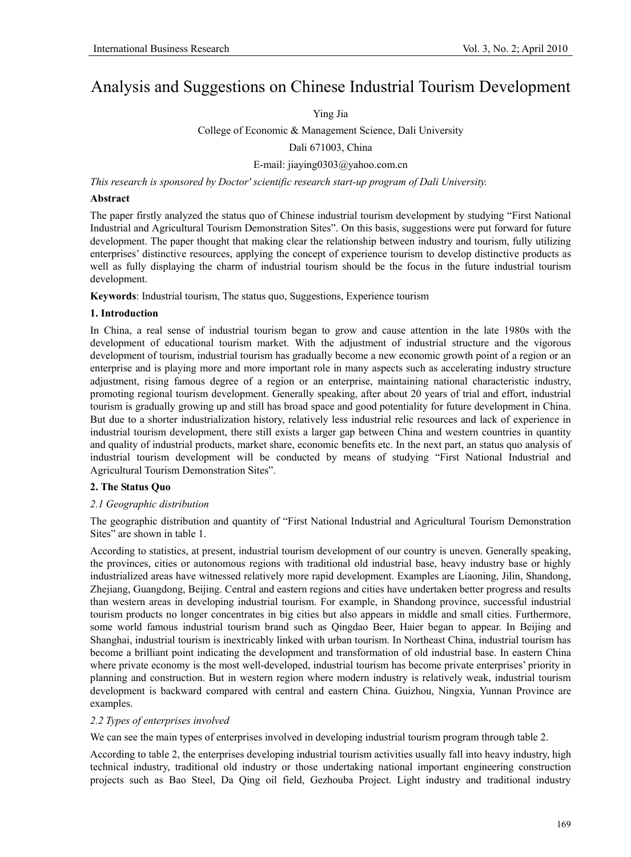# Analysis and Suggestions on Chinese Industrial Tourism Development

Ying Jia

College of Economic & Management Science, Dali University

Dali 671003, China

E-mail: jiaying0303@yahoo.com.cn

*This research is sponsored by Doctor' scientific research start-up program of Dali University.* 

## **Abstract**

The paper firstly analyzed the status quo of Chinese industrial tourism development by studying "First National Industrial and Agricultural Tourism Demonstration Sites". On this basis, suggestions were put forward for future development. The paper thought that making clear the relationship between industry and tourism, fully utilizing enterprises' distinctive resources, applying the concept of experience tourism to develop distinctive products as well as fully displaying the charm of industrial tourism should be the focus in the future industrial tourism development.

**Keywords**: Industrial tourism, The status quo, Suggestions, Experience tourism

## **1. Introduction**

In China, a real sense of industrial tourism began to grow and cause attention in the late 1980s with the development of educational tourism market. With the adjustment of industrial structure and the vigorous development of tourism, industrial tourism has gradually become a new economic growth point of a region or an enterprise and is playing more and more important role in many aspects such as accelerating industry structure adjustment, rising famous degree of a region or an enterprise, maintaining national characteristic industry, promoting regional tourism development. Generally speaking, after about 20 years of trial and effort, industrial tourism is gradually growing up and still has broad space and good potentiality for future development in China. But due to a shorter industrialization history, relatively less industrial relic resources and lack of experience in industrial tourism development, there still exists a larger gap between China and western countries in quantity and quality of industrial products, market share, economic benefits etc. In the next part, an status quo analysis of industrial tourism development will be conducted by means of studying "First National Industrial and Agricultural Tourism Demonstration Sites".

# **2. The Status Quo**

## *2.1 Geographic distribution*

The geographic distribution and quantity of "First National Industrial and Agricultural Tourism Demonstration Sites" are shown in table 1.

According to statistics, at present, industrial tourism development of our country is uneven. Generally speaking, the provinces, cities or autonomous regions with traditional old industrial base, heavy industry base or highly industrialized areas have witnessed relatively more rapid development. Examples are Liaoning, Jilin, Shandong, Zhejiang, Guangdong, Beijing. Central and eastern regions and cities have undertaken better progress and results than western areas in developing industrial tourism. For example, in Shandong province, successful industrial tourism products no longer concentrates in big cities but also appears in middle and small cities. Furthermore, some world famous industrial tourism brand such as Qingdao Beer, Haier began to appear. In Beijing and Shanghai, industrial tourism is inextricably linked with urban tourism. In Northeast China, industrial tourism has become a brilliant point indicating the development and transformation of old industrial base. In eastern China where private economy is the most well-developed, industrial tourism has become private enterprises' priority in planning and construction. But in western region where modern industry is relatively weak, industrial tourism development is backward compared with central and eastern China. Guizhou, Ningxia, Yunnan Province are examples.

# *2.2 Types of enterprises involved*

We can see the main types of enterprises involved in developing industrial tourism program through table 2.

According to table 2, the enterprises developing industrial tourism activities usually fall into heavy industry, high technical industry, traditional old industry or those undertaking national important engineering construction projects such as Bao Steel, Da Qing oil field, Gezhouba Project. Light industry and traditional industry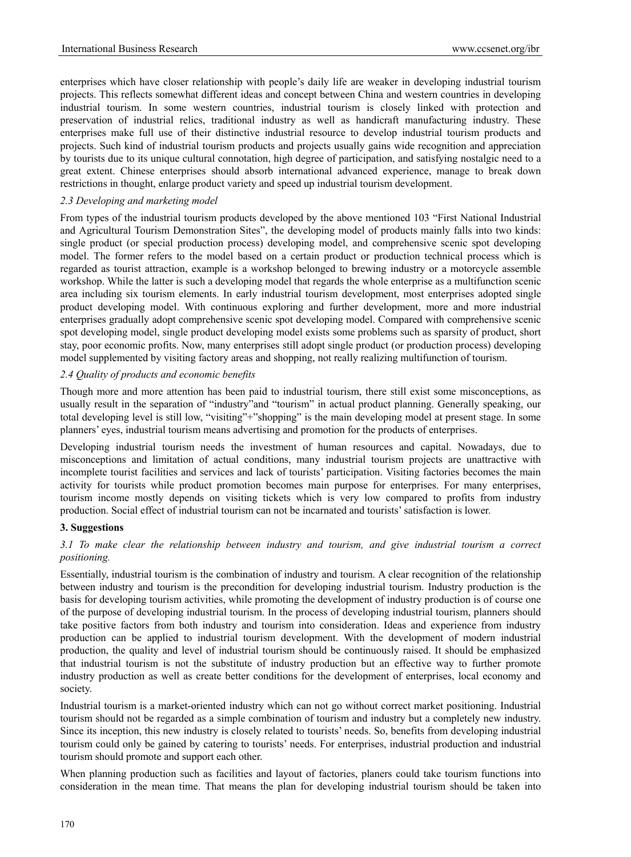enterprises which have closer relationship with people's daily life are weaker in developing industrial tourism projects. This reflects somewhat different ideas and concept between China and western countries in developing industrial tourism. In some western countries, industrial tourism is closely linked with protection and preservation of industrial relics, traditional industry as well as handicraft manufacturing industry. These enterprises make full use of their distinctive industrial resource to develop industrial tourism products and projects. Such kind of industrial tourism products and projects usually gains wide recognition and appreciation by tourists due to its unique cultural connotation, high degree of participation, and satisfying nostalgic need to a great extent. Chinese enterprises should absorb international advanced experience, manage to break down restrictions in thought, enlarge product variety and speed up industrial tourism development.

#### *2.3 Developing and marketing model*

From types of the industrial tourism products developed by the above mentioned 103 "First National Industrial and Agricultural Tourism Demonstration Sites", the developing model of products mainly falls into two kinds: single product (or special production process) developing model, and comprehensive scenic spot developing model. The former refers to the model based on a certain product or production technical process which is regarded as tourist attraction, example is a workshop belonged to brewing industry or a motorcycle assemble workshop. While the latter is such a developing model that regards the whole enterprise as a multifunction scenic area including six tourism elements. In early industrial tourism development, most enterprises adopted single product developing model. With continuous exploring and further development, more and more industrial enterprises gradually adopt comprehensive scenic spot developing model. Compared with comprehensive scenic spot developing model, single product developing model exists some problems such as sparsity of product, short stay, poor economic profits. Now, many enterprises still adopt single product (or production process) developing model supplemented by visiting factory areas and shopping, not really realizing multifunction of tourism.

#### *2.4 Quality of products and economic benefits*

Though more and more attention has been paid to industrial tourism, there still exist some misconceptions, as usually result in the separation of "industry"and "tourism" in actual product planning. Generally speaking, our total developing level is still low, "visiting"+"shopping" is the main developing model at present stage. In some planners' eyes, industrial tourism means advertising and promotion for the products of enterprises.

Developing industrial tourism needs the investment of human resources and capital. Nowadays, due to misconceptions and limitation of actual conditions, many industrial tourism projects are unattractive with incomplete tourist facilities and services and lack of tourists' participation. Visiting factories becomes the main activity for tourists while product promotion becomes main purpose for enterprises. For many enterprises, tourism income mostly depends on visiting tickets which is very low compared to profits from industry production. Social effect of industrial tourism can not be incarnated and tourists' satisfaction is lower.

## **3. Suggestions**

## *3.1 To make clear the relationship between industry and tourism, and give industrial tourism a correct positioning.*

Essentially, industrial tourism is the combination of industry and tourism. A clear recognition of the relationship between industry and tourism is the precondition for developing industrial tourism. Industry production is the basis for developing tourism activities, while promoting the development of industry production is of course one of the purpose of developing industrial tourism. In the process of developing industrial tourism, planners should take positive factors from both industry and tourism into consideration. Ideas and experience from industry production can be applied to industrial tourism development. With the development of modern industrial production, the quality and level of industrial tourism should be continuously raised. It should be emphasized that industrial tourism is not the substitute of industry production but an effective way to further promote industry production as well as create better conditions for the development of enterprises, local economy and society.

Industrial tourism is a market-oriented industry which can not go without correct market positioning. Industrial tourism should not be regarded as a simple combination of tourism and industry but a completely new industry. Since its inception, this new industry is closely related to tourists' needs. So, benefits from developing industrial tourism could only be gained by catering to tourists' needs. For enterprises, industrial production and industrial tourism should promote and support each other.

When planning production such as facilities and layout of factories, planers could take tourism functions into consideration in the mean time. That means the plan for developing industrial tourism should be taken into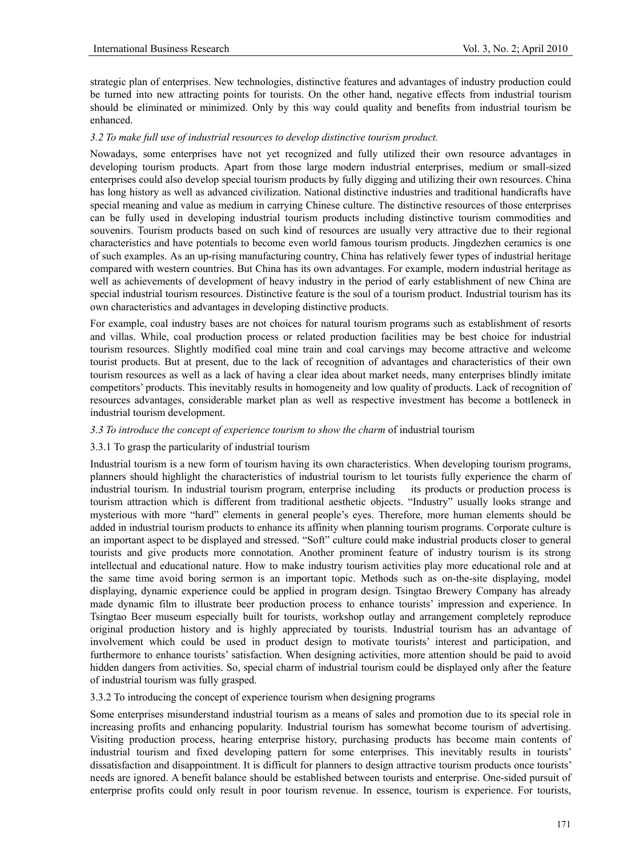strategic plan of enterprises. New technologies, distinctive features and advantages of industry production could be turned into new attracting points for tourists. On the other hand, negative effects from industrial tourism should be eliminated or minimized. Only by this way could quality and benefits from industrial tourism be enhanced.

## *3.2 To make full use of industrial resources to develop distinctive tourism product.*

Nowadays, some enterprises have not yet recognized and fully utilized their own resource advantages in developing tourism products. Apart from those large modern industrial enterprises, medium or small-sized enterprises could also develop special tourism products by fully digging and utilizing their own resources. China has long history as well as advanced civilization. National distinctive industries and traditional handicrafts have special meaning and value as medium in carrying Chinese culture. The distinctive resources of those enterprises can be fully used in developing industrial tourism products including distinctive tourism commodities and souvenirs. Tourism products based on such kind of resources are usually very attractive due to their regional characteristics and have potentials to become even world famous tourism products. Jingdezhen ceramics is one of such examples. As an up-rising manufacturing country, China has relatively fewer types of industrial heritage compared with western countries. But China has its own advantages. For example, modern industrial heritage as well as achievements of development of heavy industry in the period of early establishment of new China are special industrial tourism resources. Distinctive feature is the soul of a tourism product. Industrial tourism has its own characteristics and advantages in developing distinctive products.

For example, coal industry bases are not choices for natural tourism programs such as establishment of resorts and villas. While, coal production process or related production facilities may be best choice for industrial tourism resources. Slightly modified coal mine train and coal carvings may become attractive and welcome tourist products. But at present, due to the lack of recognition of advantages and characteristics of their own tourism resources as well as a lack of having a clear idea about market needs, many enterprises blindly imitate competitors' products. This inevitably results in homogeneity and low quality of products. Lack of recognition of resources advantages, considerable market plan as well as respective investment has become a bottleneck in industrial tourism development.

## *3.3 To introduce the concept of experience tourism to show the charm* of industrial tourism

# 3.3.1 To grasp the particularity of industrial tourism

Industrial tourism is a new form of tourism having its own characteristics. When developing tourism programs, planners should highlight the characteristics of industrial tourism to let tourists fully experience the charm of industrial tourism. In industrial tourism program, enterprise including its products or production process is tourism attraction which is different from traditional aesthetic objects. "Industry" usually looks strange and mysterious with more "hard" elements in general people's eyes. Therefore, more human elements should be added in industrial tourism products to enhance its affinity when planning tourism programs. Corporate culture is an important aspect to be displayed and stressed. "Soft" culture could make industrial products closer to general tourists and give products more connotation. Another prominent feature of industry tourism is its strong intellectual and educational nature. How to make industry tourism activities play more educational role and at the same time avoid boring sermon is an important topic. Methods such as on-the-site displaying, model displaying, dynamic experience could be applied in program design. Tsingtao Brewery Company has already made dynamic film to illustrate beer production process to enhance tourists' impression and experience. In Tsingtao Beer museum especially built for tourists, workshop outlay and arrangement completely reproduce original production history and is highly appreciated by tourists. Industrial tourism has an advantage of involvement which could be used in product design to motivate tourists' interest and participation, and furthermore to enhance tourists' satisfaction. When designing activities, more attention should be paid to avoid hidden dangers from activities. So, special charm of industrial tourism could be displayed only after the feature of industrial tourism was fully grasped.

## 3.3.2 To introducing the concept of experience tourism when designing programs

Some enterprises misunderstand industrial tourism as a means of sales and promotion due to its special role in increasing profits and enhancing popularity. Industrial tourism has somewhat become tourism of advertising. Visiting production process, hearing enterprise history, purchasing products has become main contents of industrial tourism and fixed developing pattern for some enterprises. This inevitably results in tourists' dissatisfaction and disappointment. It is difficult for planners to design attractive tourism products once tourists' needs are ignored. A benefit balance should be established between tourists and enterprise. One-sided pursuit of enterprise profits could only result in poor tourism revenue. In essence, tourism is experience. For tourists,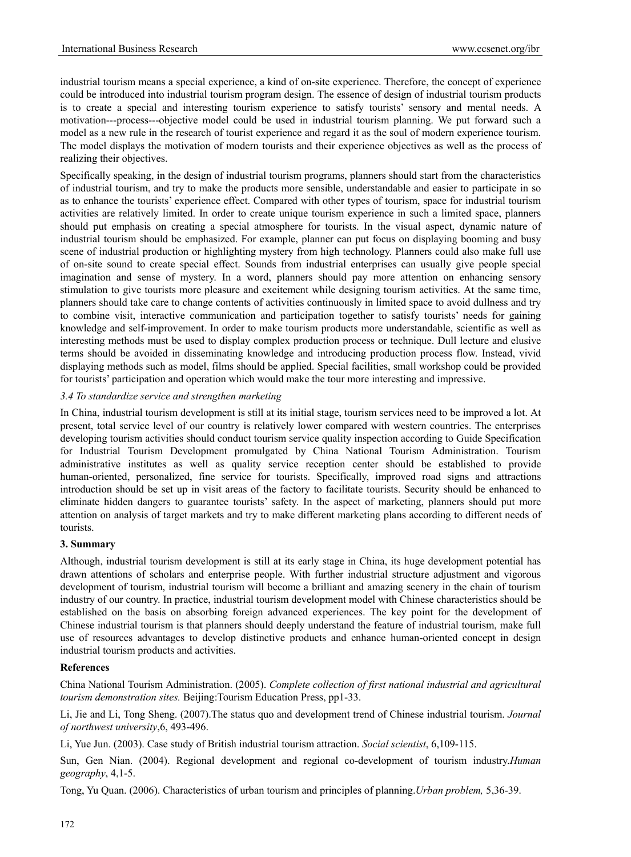industrial tourism means a special experience, a kind of on-site experience. Therefore, the concept of experience could be introduced into industrial tourism program design. The essence of design of industrial tourism products is to create a special and interesting tourism experience to satisfy tourists' sensory and mental needs. A motivation---process---objective model could be used in industrial tourism planning. We put forward such a model as a new rule in the research of tourist experience and regard it as the soul of modern experience tourism. The model displays the motivation of modern tourists and their experience objectives as well as the process of realizing their objectives.

Specifically speaking, in the design of industrial tourism programs, planners should start from the characteristics of industrial tourism, and try to make the products more sensible, understandable and easier to participate in so as to enhance the tourists' experience effect. Compared with other types of tourism, space for industrial tourism activities are relatively limited. In order to create unique tourism experience in such a limited space, planners should put emphasis on creating a special atmosphere for tourists. In the visual aspect, dynamic nature of industrial tourism should be emphasized. For example, planner can put focus on displaying booming and busy scene of industrial production or highlighting mystery from high technology. Planners could also make full use of on-site sound to create special effect. Sounds from industrial enterprises can usually give people special imagination and sense of mystery. In a word, planners should pay more attention on enhancing sensory stimulation to give tourists more pleasure and excitement while designing tourism activities. At the same time, planners should take care to change contents of activities continuously in limited space to avoid dullness and try to combine visit, interactive communication and participation together to satisfy tourists' needs for gaining knowledge and self-improvement. In order to make tourism products more understandable, scientific as well as interesting methods must be used to display complex production process or technique. Dull lecture and elusive terms should be avoided in disseminating knowledge and introducing production process flow. Instead, vivid displaying methods such as model, films should be applied. Special facilities, small workshop could be provided for tourists' participation and operation which would make the tour more interesting and impressive.

## *3.4 To standardize service and strengthen marketing*

In China, industrial tourism development is still at its initial stage, tourism services need to be improved a lot. At present, total service level of our country is relatively lower compared with western countries. The enterprises developing tourism activities should conduct tourism service quality inspection according to Guide Specification for Industrial Tourism Development promulgated by China National Tourism Administration. Tourism administrative institutes as well as quality service reception center should be established to provide human-oriented, personalized, fine service for tourists. Specifically, improved road signs and attractions introduction should be set up in visit areas of the factory to facilitate tourists. Security should be enhanced to eliminate hidden dangers to guarantee tourists' safety. In the aspect of marketing, planners should put more attention on analysis of target markets and try to make different marketing plans according to different needs of tourists.

## **3. Summary**

Although, industrial tourism development is still at its early stage in China, its huge development potential has drawn attentions of scholars and enterprise people. With further industrial structure adjustment and vigorous development of tourism, industrial tourism will become a brilliant and amazing scenery in the chain of tourism industry of our country. In practice, industrial tourism development model with Chinese characteristics should be established on the basis on absorbing foreign advanced experiences. The key point for the development of Chinese industrial tourism is that planners should deeply understand the feature of industrial tourism, make full use of resources advantages to develop distinctive products and enhance human-oriented concept in design industrial tourism products and activities.

## **References**

China National Tourism Administration. (2005). *Complete collection of first national industrial and agricultural tourism demonstration sites.* Beijing:Tourism Education Press, pp1-33.

Li, Jie and Li, Tong Sheng. (2007).The status quo and development trend of Chinese industrial tourism. *Journal of northwest university*,6, 493-496.

Li, Yue Jun. (2003). Case study of British industrial tourism attraction. *Social scientist*, 6,109-115.

Sun, Gen Nian. (2004). Regional development and regional co-development of tourism industry.*Human geography*, 4,1-5.

Tong, Yu Quan. (2006). Characteristics of urban tourism and principles of planning.*Urban problem,* 5,36-39.